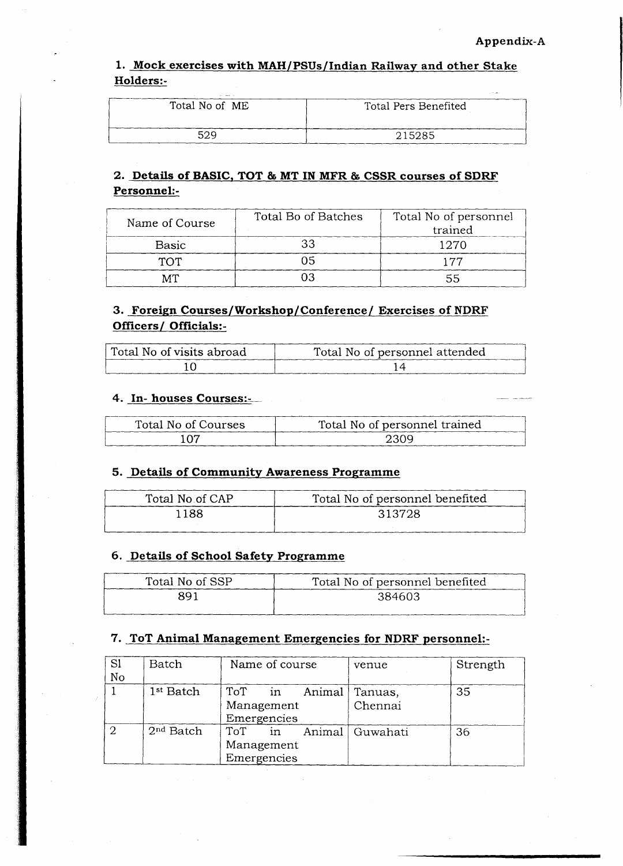## **1. Mock exercises with MAH/PSUs/Indian Railway and other Stake Holders:-**

| .              |                      |
|----------------|----------------------|
| Total No of ME | Total Pers Benefited |
| 529            | 215285               |

## **2. Details of BASIC, TOT & MT IN MFR & CSSR courses of SDRF Personnel:-**

| Name of Course | Total Bo of Batches | Total No of personnel |
|----------------|---------------------|-----------------------|
|                |                     | trained               |
| <b>Basic</b>   |                     | 1270                  |
| <b>TOT</b>     |                     |                       |
|                |                     |                       |

# **3. Foreign Courses/Workshop/Conference/ Exercises of NDRF Officers/ Officials:-**

| Total No of visits abroad | Total No of personnel attended |
|---------------------------|--------------------------------|
|                           |                                |

### **4.** In-houses Courses:

| Total No of Courses | Total No of personnel trained |
|---------------------|-------------------------------|
|                     | 2309                          |

### **5. Details of Community Awareness Programme**

| Total No. of CAP | Total No of personnel benefited |
|------------------|---------------------------------|
| 1188             | 313728                          |
|                  |                                 |

### **6. Details of School Safety Programme**

| Total No of SSP | Total No of personnel benefited |
|-----------------|---------------------------------|
| RO.             | 384603                          |

### **7. ToT Animal Management Emergencies for NDRF personnel:-**

| S1<br>No | Batch                 | Name of course                      |        | venue              | Strength |
|----------|-----------------------|-------------------------------------|--------|--------------------|----------|
|          | 1 <sup>st</sup> Batch | ToT in<br>Management<br>Emergencies | Animal | Tanuas,<br>Chennai | 35       |
|          | $2nd$ Batch           | ToT in<br>Management<br>Emergencies | Animal | Guwahati           | 36       |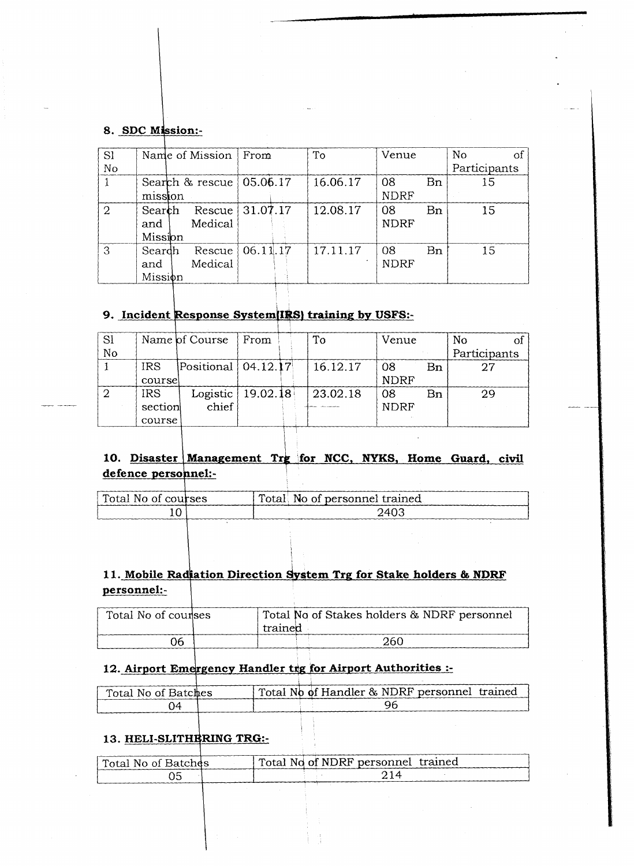### 8. SDC Mission:-

| S <sub>1</sub>              |         | Name of Mission | From     | To       | Venue       |    | No<br>ΟÍ     |
|-----------------------------|---------|-----------------|----------|----------|-------------|----|--------------|
| No                          |         |                 |          |          |             |    | Participants |
|                             |         | Search & rescue | 05.06.17 | 16.06.17 | 08          | Bn | 15           |
|                             | mission |                 |          |          | <b>NDRF</b> |    |              |
| $\mathcal{D}_{\mathcal{L}}$ | Search  | Rescue          | 31.07.17 | 12.08.17 | 08          | Bn | 15           |
|                             | and     | Medical         |          |          | <b>NDRF</b> |    |              |
|                             | Mission |                 |          |          |             |    |              |
| $\mathcal{R}$               | Seardh  | Rescue          | 06.11.17 | 17.11.17 | 08          | Bn | 15           |
|                             | and     | Medical         |          |          | <b>NDRF</b> |    |              |
|                             | Mission |                 |          |          |             |    |              |

### 9. Incident Response System(IRS) training by USFS:-

| <sub>S1</sub> |            | Name of Course                                | From                     | To       | Venue       |    | No           |  |
|---------------|------------|-----------------------------------------------|--------------------------|----------|-------------|----|--------------|--|
| No            |            |                                               |                          |          |             |    | Participants |  |
|               | <b>IRS</b> | $\left $ Positional $\left  04.12.17 \right $ |                          | 16.12.17 | 08          | Bn |              |  |
|               | coursel    |                                               |                          |          | <b>NDRF</b> |    |              |  |
|               | IRS.       | Logistic                                      | $\vert$ 19.02.18 $\vert$ | 23.02.18 | 08          | Bn | 29           |  |
|               | section    | chief                                         |                          |          | <b>NDRF</b> |    |              |  |
|               | course     |                                               |                          |          |             |    |              |  |

# 10. Disaster Management Trg for NCC, NYKS, Home Guard, civil defence personnel:-

| Total No of courses | Total No of personnel trained |
|---------------------|-------------------------------|
|                     | ാമറി                          |

# 11. Mobile Radiation Direction System Trg for Stake holders & NDRF personnel:-

| Total No of courses | Total No of Stakes holders & NDRF personnel<br>trained |
|---------------------|--------------------------------------------------------|
| Ж                   | 260                                                    |

### 12. Airport Emergency Handler trg for Airport Authorities :-

| Total No of Batches |  |  | <sup>1</sup> Total No of Handler & NDRF personnel trained |  |
|---------------------|--|--|-----------------------------------------------------------|--|
|                     |  |  |                                                           |  |

### 13. HELI-SLITHERING TRG:-

| Total No of Batches |  |  | <sup>1</sup> Total No of NDRF personnel trained |  |
|---------------------|--|--|-------------------------------------------------|--|
|                     |  |  |                                                 |  |
|                     |  |  |                                                 |  |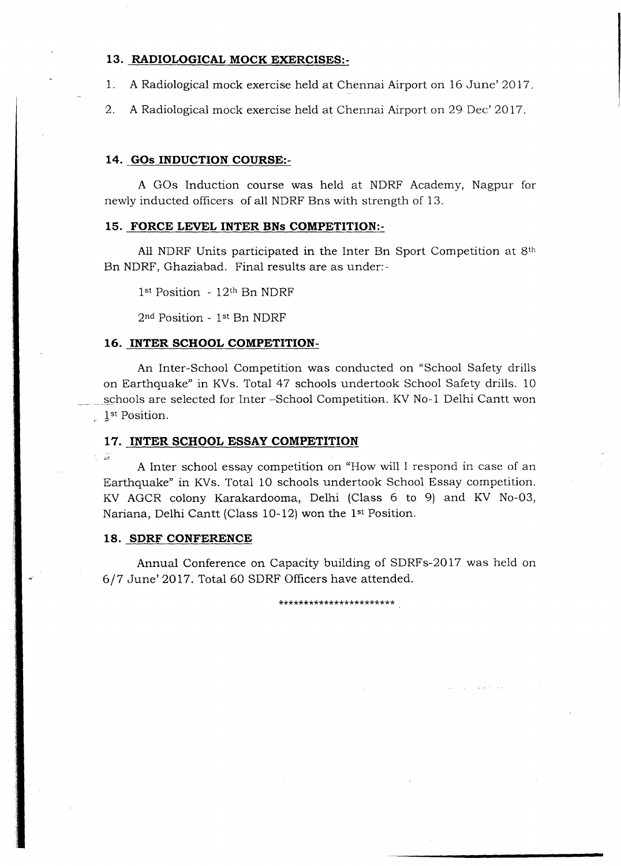#### **13. RADIOLOGICAL MOCK EXERCISES:-**

- 1. A Radiological mock exercise held at Chennai Airport on 16 June' 2017.
- 2. A Radiological mock exercise held at Chennai Airport on 29 Dec' 2017.

#### **14. GOs INDUCTION COURSE:-**

A GOs Induction course was held at NDRF Academy, Nagpur for newly inducted officers of all NDRF Bns with strength of 13.

#### **15. FORCE LEVEL INTER BNs COMPETITION:-**

All NDRF Units participated in the Inter Bn Sport Competition at 8th Bn NDRF, Ghaziabad. Final results are as under:-

1st Position - 12<sup>th</sup> Bn NDRF

2<sup>nd</sup> Position - 1<sup>st</sup> Bn NDRF

### **16. INTER SCHOOL COMPETITION-**

An Inter-School Competition was conducted on "School Safety drills on Earthquake" in KVs. Total 47 schools undertook School Safety drills. 10 schools are selected for Inter -School Competition. KV No-1 Delhi Cantt won  $\frac{1}{2}$ <sup>st</sup> Position.

#### **17. INTER SCHOOL ESSAY COMPETITION**

 $\frac{1}{4} \frac{1}{\sqrt{2}}$ A Inter school essay competition on "How will I respond in case of an Earthquake" in KVs. Total 10 schools undertook School Essay competition. KV AGCR colony Karakardooma, Delhi (Class 6 to 9) and KV No-03, Nariana, Delhi Cantt (Class 10-12) won the 1st Position

#### **18. SDRF CONFERENCE**

Annual Conference on Capacity building of SDRFs-2017 was held on 6/7 June' 2017. Total 60 SDRF Officers have attended.

\*\*\*\*\*\*\*\*\*\*\*\*\*\*\*\*\*\*\*\*\*\*\*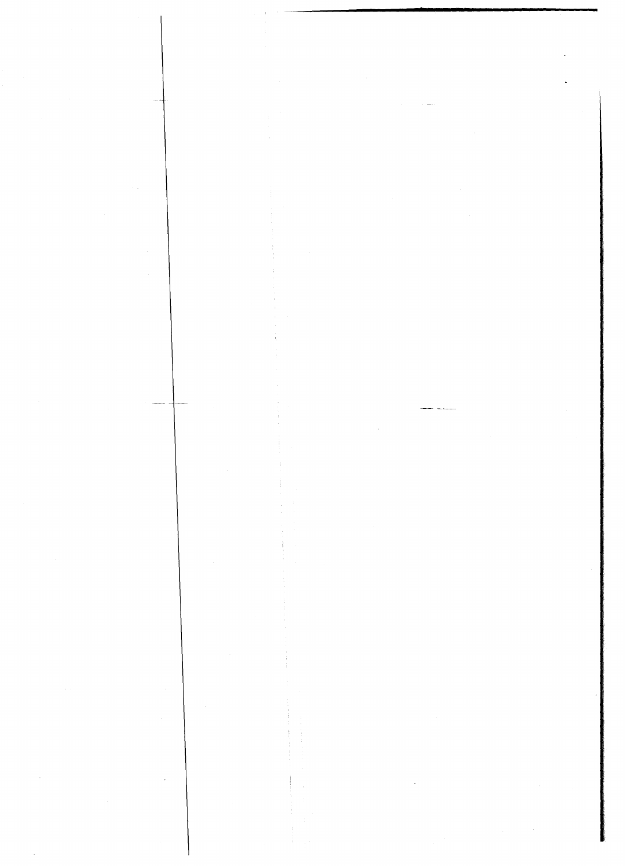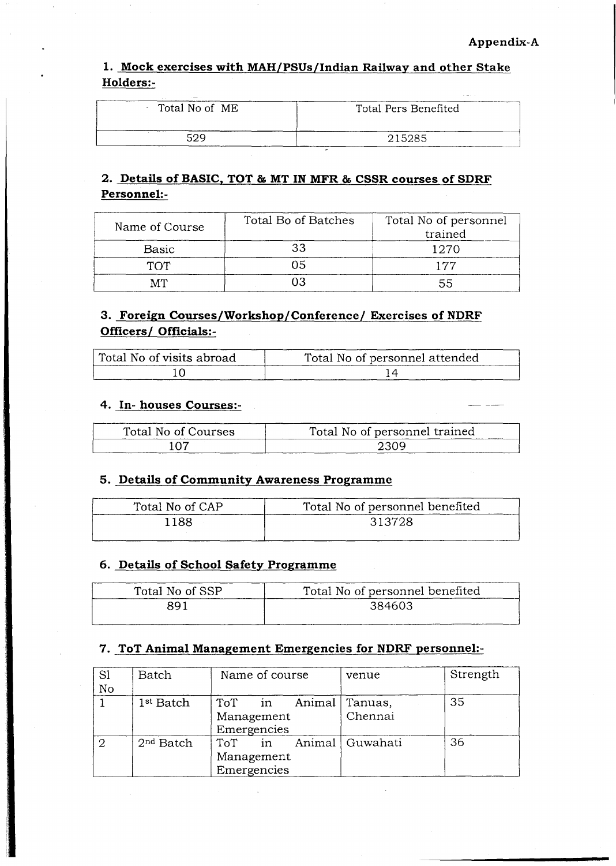### **1. Mock exercises with MAH/PSUs/Indian Railway and other Stake Holders:-**

| $-$<br><b>STATE OF BUILDING</b> | $\sim$ $ -$          |
|---------------------------------|----------------------|
| Total No of ME                  | Total Pers Benefited |
| 529                             |                      |
|                                 | 215285               |

# **2. Details of BASIC, TOT & MT IN MFR & CSSR courses of SDRF Personnel:-**

| Name of Course | Total Bo of Batches | Total No of personnel<br>trained |
|----------------|---------------------|----------------------------------|
|                |                     |                                  |
| Basic          |                     | 1270                             |
| ፐስፐ            |                     | 177                              |
| MT             |                     |                                  |

# **3. Foreign Courses/Workshop/Conference/ Exercises of NDRF Officers/ Officials:-**

| Total No of visits abroad | Total No of personnel attended |
|---------------------------|--------------------------------|
|                           |                                |

### **4. In- houses Courses:-**

| Total No of Courses<br>-- | Total No of personnel trained |
|---------------------------|-------------------------------|
| -07                       | 2309                          |

## **5. Details of Community Awareness Programme**

| Total No of CAP | Total No of personnel benefited |
|-----------------|---------------------------------|
| ' 188           | 313728                          |
|                 |                                 |

### **6. Details of School Safety Programme**

| Total No of SSP | Total No of personnel benefited |
|-----------------|---------------------------------|
| RO.             | 384603                          |

### 7. **ToT Animal Management Emergencies for NDRF personnel:-**

| <sub>S1</sub><br>No | Batch                 | Name of course                                | venue              | Strength |
|---------------------|-----------------------|-----------------------------------------------|--------------------|----------|
|                     | 1 <sup>st</sup> Batch | Animal<br>ToT in<br>Management<br>Emergencies | Tanuas,<br>Chennai | 35       |
| ◯                   | 2 <sup>nd</sup> Batch | Animal<br>ToT in<br>Management<br>Emergencies | Guwahati           | 36       |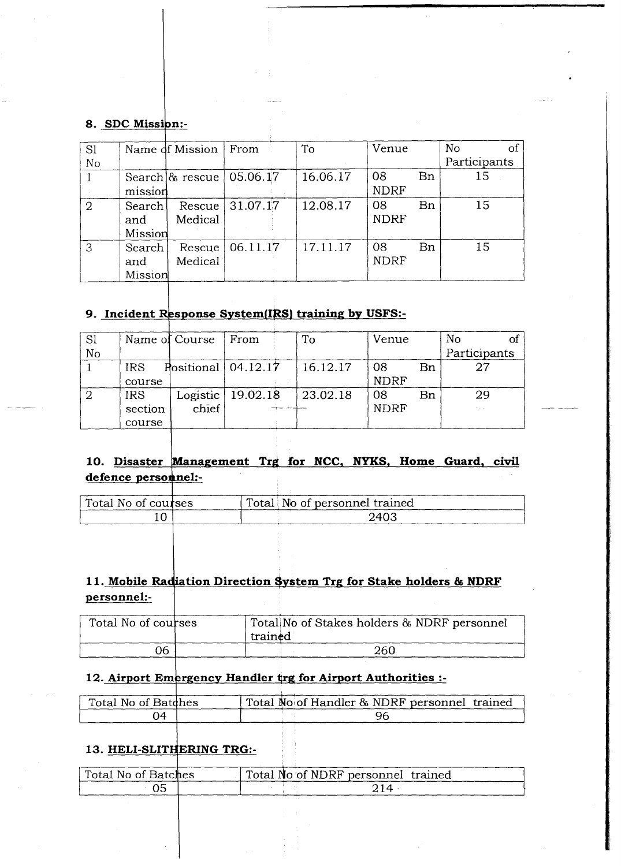### 8. SDC Mission:-

| S1             |         | Name of Mission | From     | To       | Venue       |    | No<br>οf     |
|----------------|---------|-----------------|----------|----------|-------------|----|--------------|
| N <sub>o</sub> |         |                 |          |          |             |    | Participants |
|                |         | Search & rescue | 05.06.17 | 16.06.17 | 08          | Bn | 15           |
|                | mission |                 |          |          | <b>NDRF</b> |    |              |
| $\overline{2}$ | Search  | Rescue          | 31.07.17 | 12.08.17 | 08          | Bn | 15           |
|                | and     | Medical         |          |          | <b>NDRF</b> |    |              |
|                | Mission |                 |          |          |             |    |              |
| 3              | Search  | Rescue          | 06.11.17 | 17.11.17 | 08          | Bn | 15           |
|                | and     | Medical         |          |          | <b>NDRF</b> |    |              |
|                | Mission |                 |          |          |             |    |              |

## 9. Incident Response System(IRS) training by USFS:-

| <sub>S1</sub> |            | Name of Course          | From     | To       | Venue       |    | No           | Оl |
|---------------|------------|-------------------------|----------|----------|-------------|----|--------------|----|
| No            |            |                         |          |          |             |    | Participants |    |
|               | <b>IRS</b> | $Rositional$   04.12.17 |          | 16.12.17 | 08          | Bn | 07           |    |
|               | course     |                         |          |          | <b>NDRF</b> |    |              |    |
|               | IRS        | Logistic $\vert$        | 19.02.18 | 23.02.18 | 08          | Bn | 29           |    |
|               | section    | chief                   |          |          | <b>NDRF</b> |    | .            |    |
|               | course     |                         |          |          |             |    |              |    |

# 10. Disaster Management Trg for NCC, NYKS, Home Guard, civil defence personnel:-

| Total No of personnel trained |
|-------------------------------|
| ን4በ:                          |

# 11. Mobile Radiation Direction System Trg for Stake holders & NDRF personnel:-

| Total No of courses | Total No of Stakes holders & NDRF personnel<br>trained |
|---------------------|--------------------------------------------------------|
| 36                  | 260                                                    |

## 12. Airport Emergency Handler trg for Airport Authorities :-

| Total No of Batdhes | Total No of Handler & NDRF personnel trained |
|---------------------|----------------------------------------------|
|                     |                                              |

### 13. HELI-SLITHERING TRG:-

| Total No of Batches | Total No of NDRF personnel trained |
|---------------------|------------------------------------|
| 05                  | 1 I A                              |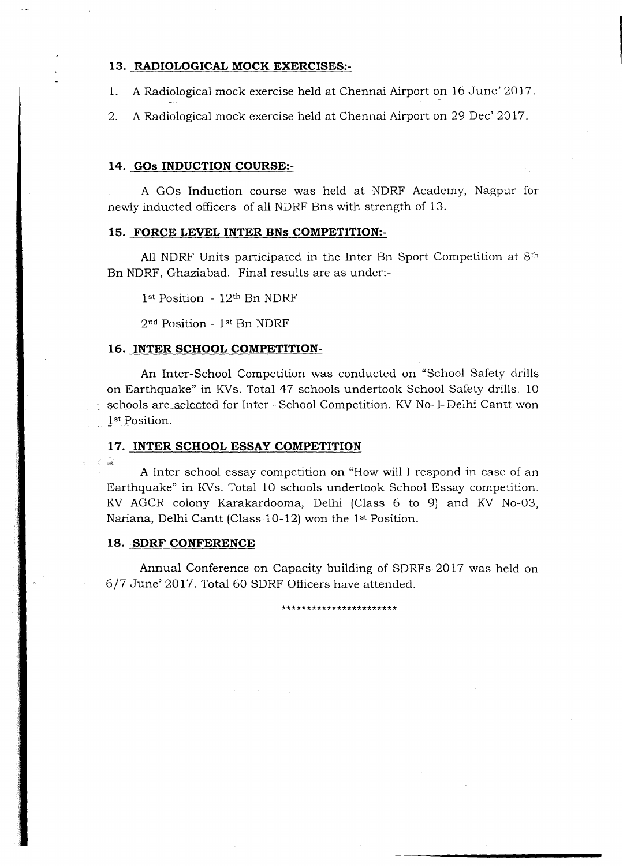#### **13. RADIOLOGICAL MOCK EXERCISES:-**

- 1. A Radiological mock exercise held at Chennai Airport on 16 June' 2017.
- 2. A Radiological mock exercise held at Chennai Airport on 29 Dec' 2017.

#### **14. GOs INDUCTION COURSE:-**

A GOs Induction course was held at NDRF Academy, Nagpur for newly inducted officers of all NDRF Bns with strength of 13.

#### **15. FORCE LEVEL INTER BNs COMPETITION:-**

All NDRF Units participated in the Inter Bn Sport Competition at 8th Bn NDRF, Ghaziabad. Final results are as under:-

1st Position - 12<sup>th</sup> Bn NDRF

2<sup>nd</sup> Position - 1<sup>st</sup> Bn NDRF

#### **16. INTER SCHOOL COMPETITION-**

An Inter-School Competition was conducted on "School Safety drills on Earthquake" in KVs. Total 47 schools undertook School Safety drills. 10 schools are selected for Inter -School Competition. KV No-1-Delhi Cantt won 1<sup>st</sup> Position.

#### **17. INTER SCHOOL ESSAY COMPETITION**

A Inter school essay competition on "How will I respond in case of an Earthquake" in KVs. Total 10 schools undertook School Essay competition. KV AGCR colony Karakardooma, Delhi (Class 6 to 9) and KV No-03, Nariana, Delhi Cantt (Class 10-12) won the 1<sup>st</sup> Position.

#### **18. SDRF CONFERENCE**

Annual Conference on Capacity building of SDRFs-20 17 was held on 6/7 June' 2017. Total 60 SDRF Officers have attended.

\*\*\*\*\*\*\*\*\*\*\*\*\*\*\*\*\*\*\*\*\*\*